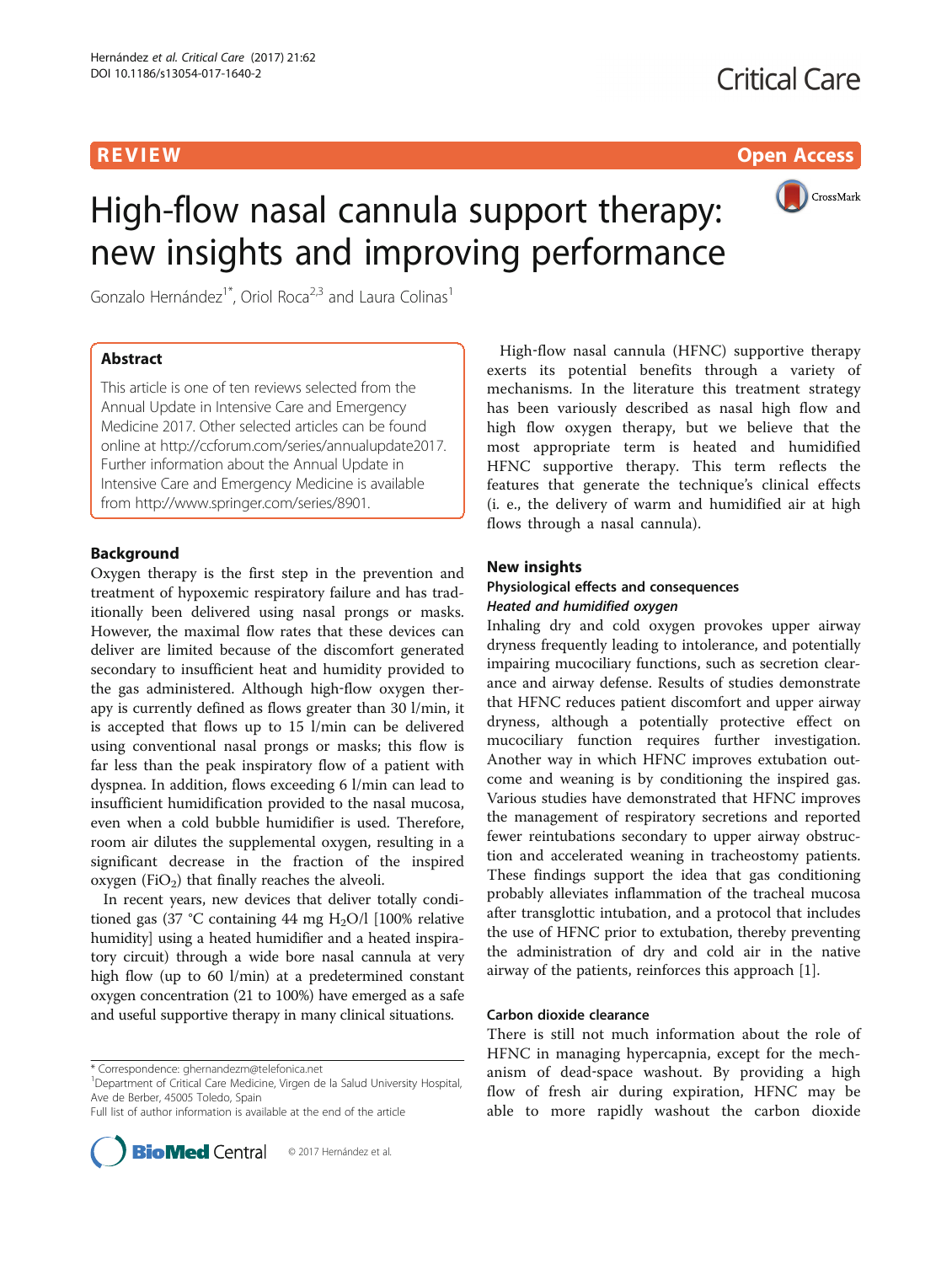**REVIEW CONTROL** CONTROL CONTROL CONTROL CONTROL CONTROL CONTROL CONTROL CONTROL CONTROL CONTROL CONTROL CONTROL CONTROL CONTROL CONTROL CONTROL CONTROL CONTROL CONTROL CONTROL CONTROL CONTROL CONTROL CONTROL CONTROL CONTR



# High-flow nasal cannula support therapy: new insights and improving performance

Gonzalo Hernández<sup>1\*</sup>, Oriol Roca<sup>2,3</sup> and Laura Colinas<sup>1</sup>

# Abstract

This article is one of ten reviews selected from the Annual Update in Intensive Care and Emergency Medicine 2017. Other selected articles can be found online at [http://ccforum.com/series/annualupdate2017.](http://ccforum.com/series/annualupdate2017) Further information about the Annual Update in Intensive Care and Emergency Medicine is available from [http://www.springer.com/series/8901.](http://www.springer.com/series/8901)

# Background

Oxygen therapy is the first step in the prevention and treatment of hypoxemic respiratory failure and has traditionally been delivered using nasal prongs or masks. However, the maximal flow rates that these devices can deliver are limited because of the discomfort generated secondary to insufficient heat and humidity provided to the gas administered. Although high‐flow oxygen therapy is currently defined as flows greater than 30 l/min, it is accepted that flows up to 15 l/min can be delivered using conventional nasal prongs or masks; this flow is far less than the peak inspiratory flow of a patient with dyspnea. In addition, flows exceeding 6 l/min can lead to insufficient humidification provided to the nasal mucosa, even when a cold bubble humidifier is used. Therefore, room air dilutes the supplemental oxygen, resulting in a significant decrease in the fraction of the inspired oxygen (FiO<sub>2</sub>) that finally reaches the alveoli.

In recent years, new devices that deliver totally conditioned gas (37 °C containing 44 mg H<sub>2</sub>O/l [100% relative humidity] using a heated humidifier and a heated inspiratory circuit) through a wide bore nasal cannula at very high flow (up to 60 l/min) at a predetermined constant oxygen concentration (21 to 100%) have emerged as a safe and useful supportive therapy in many clinical situations.

Full list of author information is available at the end of the article



High‐flow nasal cannula (HFNC) supportive therapy exerts its potential benefits through a variety of mechanisms. In the literature this treatment strategy has been variously described as nasal high flow and high flow oxygen therapy, but we believe that the most appropriate term is heated and humidified HFNC supportive therapy. This term reflects the features that generate the technique's clinical effects (i. e., the delivery of warm and humidified air at high flows through a nasal cannula).

# New insights

# Physiological effects and consequences Heated and humidified oxygen

Inhaling dry and cold oxygen provokes upper airway dryness frequently leading to intolerance, and potentially impairing mucociliary functions, such as secretion clearance and airway defense. Results of studies demonstrate that HFNC reduces patient discomfort and upper airway dryness, although a potentially protective effect on mucociliary function requires further investigation. Another way in which HFNC improves extubation outcome and weaning is by conditioning the inspired gas. Various studies have demonstrated that HFNC improves the management of respiratory secretions and reported fewer reintubations secondary to upper airway obstruction and accelerated weaning in tracheostomy patients. These findings support the idea that gas conditioning probably alleviates inflammation of the tracheal mucosa after transglottic intubation, and a protocol that includes the use of HFNC prior to extubation, thereby preventing the administration of dry and cold air in the native airway of the patients, reinforces this approach [\[1\]](#page-9-0).

### Carbon dioxide clearance

There is still not much information about the role of HFNC in managing hypercapnia, except for the mechanism of dead‐space washout. By providing a high flow of fresh air during expiration, HFNC may be able to more rapidly washout the carbon dioxide

<sup>\*</sup> Correspondence: [ghernandezm@telefonica.net](mailto:ghernandezm@telefonica.net) <sup>1</sup>

<sup>&</sup>lt;sup>1</sup>Department of Critical Care Medicine, Virgen de la Salud University Hospital, Ave de Berber, 45005 Toledo, Spain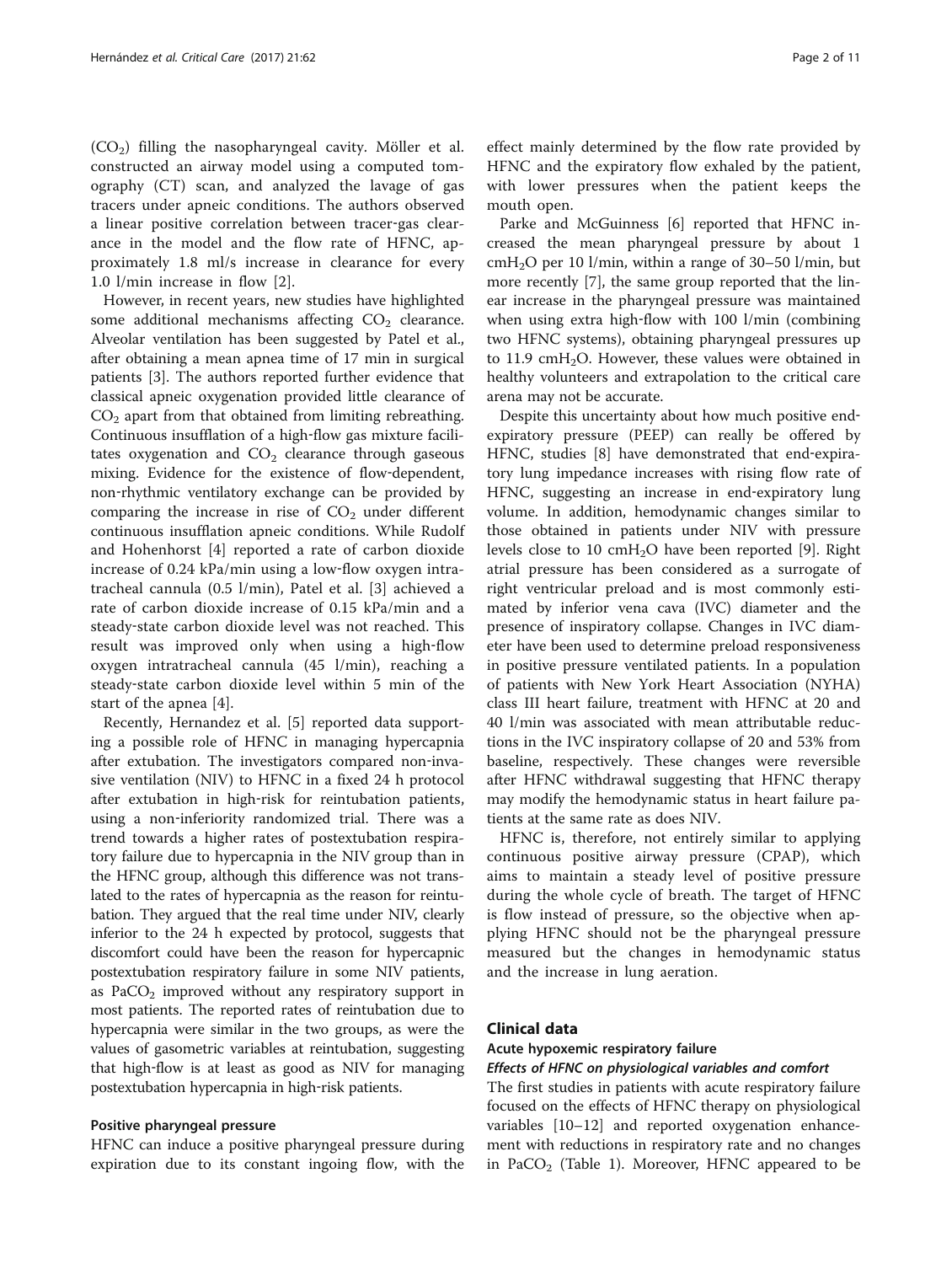$(CO<sub>2</sub>)$  filling the nasopharyngeal cavity. Möller et al. constructed an airway model using a computed tomography (CT) scan, and analyzed the lavage of gas tracers under apneic conditions. The authors observed a linear positive correlation between tracer‐gas clearance in the model and the flow rate of HFNC, approximately 1.8 ml/s increase in clearance for every 1.0 l/min increase in flow [\[2](#page-9-0)].

However, in recent years, new studies have highlighted some additional mechanisms affecting  $CO<sub>2</sub>$  clearance. Alveolar ventilation has been suggested by Patel et al., after obtaining a mean apnea time of 17 min in surgical patients [[3\]](#page-9-0). The authors reported further evidence that classical apneic oxygenation provided little clearance of  $CO<sub>2</sub>$  apart from that obtained from limiting rebreathing. Continuous insufflation of a high‐flow gas mixture facilitates oxygenation and  $CO<sub>2</sub>$  clearance through gaseous mixing. Evidence for the existence of flow-dependent, non‐rhythmic ventilatory exchange can be provided by comparing the increase in rise of  $CO<sub>2</sub>$  under different continuous insufflation apneic conditions. While Rudolf and Hohenhorst [[4\]](#page-9-0) reported a rate of carbon dioxide increase of 0.24 kPa/min using a low-flow oxygen intratracheal cannula (0.5 l/min), Patel et al. [\[3](#page-9-0)] achieved a rate of carbon dioxide increase of 0.15 kPa/min and a steady‐state carbon dioxide level was not reached. This result was improved only when using a high‐flow oxygen intratracheal cannula (45 l/min), reaching a steady‐state carbon dioxide level within 5 min of the start of the apnea [[4\]](#page-9-0).

Recently, Hernandez et al. [[5\]](#page-9-0) reported data supporting a possible role of HFNC in managing hypercapnia after extubation. The investigators compared non‐invasive ventilation (NIV) to HFNC in a fixed 24 h protocol after extubation in high‐risk for reintubation patients, using a non-inferiority randomized trial. There was a trend towards a higher rates of postextubation respiratory failure due to hypercapnia in the NIV group than in the HFNC group, although this difference was not translated to the rates of hypercapnia as the reason for reintubation. They argued that the real time under NIV, clearly inferior to the 24 h expected by protocol, suggests that discomfort could have been the reason for hypercapnic postextubation respiratory failure in some NIV patients, as  $PaCO<sub>2</sub>$  improved without any respiratory support in most patients. The reported rates of reintubation due to hypercapnia were similar in the two groups, as were the values of gasometric variables at reintubation, suggesting that high‐flow is at least as good as NIV for managing postextubation hypercapnia in high‐risk patients.

### Positive pharyngeal pressure

HFNC can induce a positive pharyngeal pressure during expiration due to its constant ingoing flow, with the

effect mainly determined by the flow rate provided by HFNC and the expiratory flow exhaled by the patient, with lower pressures when the patient keeps the mouth open.

Parke and McGuinness [[6\]](#page-9-0) reported that HFNC increased the mean pharyngeal pressure by about 1  $cmH<sub>2</sub>O$  per 10 l/min, within a range of 30–50 l/min, but more recently [[7\]](#page-9-0), the same group reported that the linear increase in the pharyngeal pressure was maintained when using extra high-flow with 100 l/min (combining two HFNC systems), obtaining pharyngeal pressures up to  $11.9 \text{ cm} + 1.2$ . However, these values were obtained in healthy volunteers and extrapolation to the critical care arena may not be accurate.

Despite this uncertainty about how much positive end‐ expiratory pressure (PEEP) can really be offered by HFNC, studies [[8](#page-9-0)] have demonstrated that end-expiratory lung impedance increases with rising flow rate of HFNC, suggesting an increase in end-expiratory lung volume. In addition, hemodynamic changes similar to those obtained in patients under NIV with pressure levels close to 10 cmH<sub>2</sub>O have been reported [[9\]](#page-9-0). Right atrial pressure has been considered as a surrogate of right ventricular preload and is most commonly estimated by inferior vena cava (IVC) diameter and the presence of inspiratory collapse. Changes in IVC diameter have been used to determine preload responsiveness in positive pressure ventilated patients. In a population of patients with New York Heart Association (NYHA) class III heart failure, treatment with HFNC at 20 and 40 l/min was associated with mean attributable reductions in the IVC inspiratory collapse of 20 and 53% from baseline, respectively. These changes were reversible after HFNC withdrawal suggesting that HFNC therapy may modify the hemodynamic status in heart failure patients at the same rate as does NIV.

HFNC is, therefore, not entirely similar to applying continuous positive airway pressure (CPAP), which aims to maintain a steady level of positive pressure during the whole cycle of breath. The target of HFNC is flow instead of pressure, so the objective when applying HFNC should not be the pharyngeal pressure measured but the changes in hemodynamic status and the increase in lung aeration.

# Clinical data

#### Acute hypoxemic respiratory failure

#### Effects of HFNC on physiological variables and comfort

The first studies in patients with acute respiratory failure focused on the effects of HFNC therapy on physiological variables [\[10](#page-9-0)–[12\]](#page-9-0) and reported oxygenation enhancement with reductions in respiratory rate and no changes in PaCO<sub>2</sub> (Table [1\)](#page-2-0). Moreover, HFNC appeared to be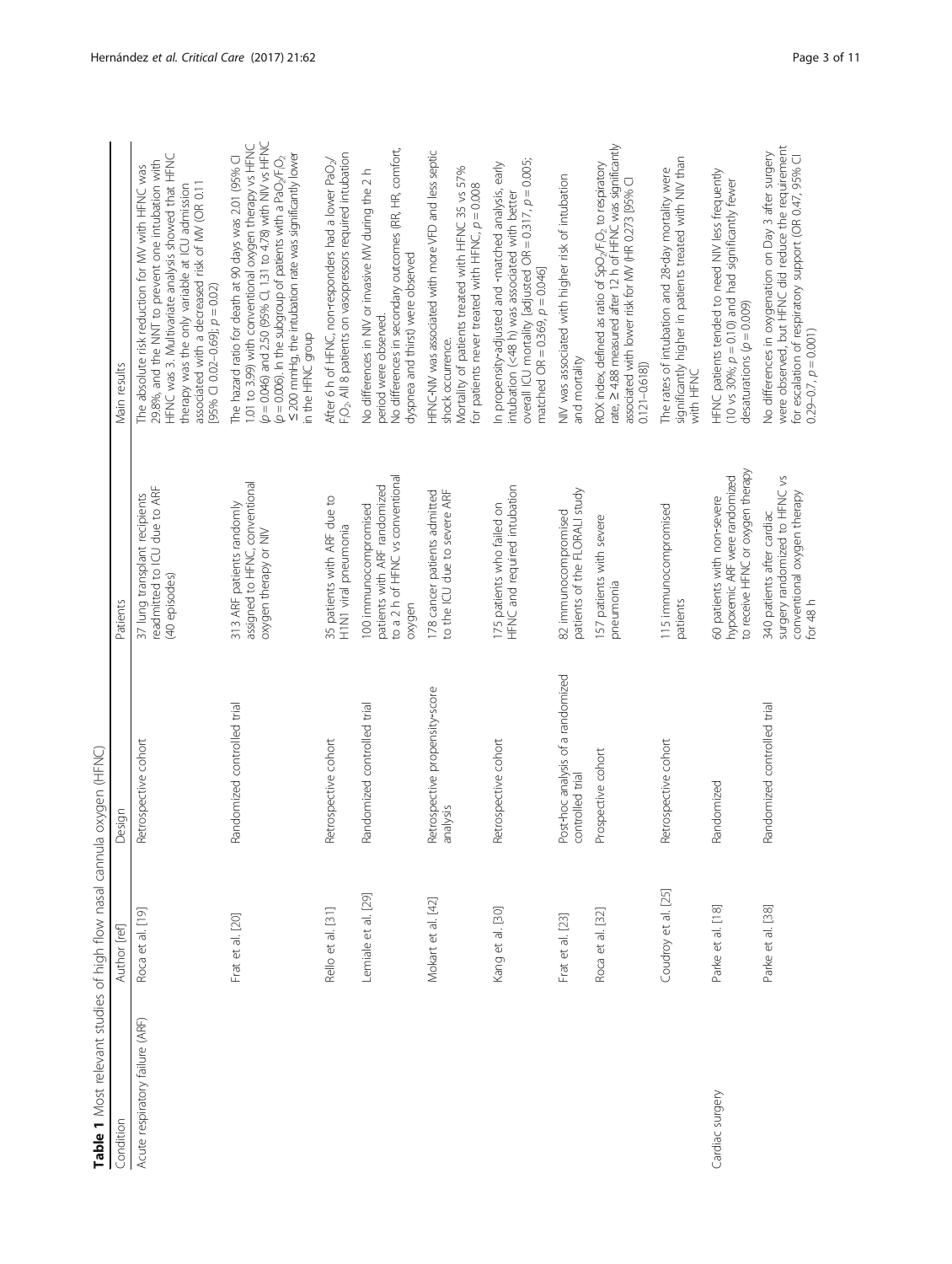<span id="page-2-0"></span>

| Table 1 Most relevant studies of high flow nasal cann |                     | ula oxygen (HFNC)                                     |                                                                                                        |                                                                                                                                                                                                                                                                                                                                                                          |
|-------------------------------------------------------|---------------------|-------------------------------------------------------|--------------------------------------------------------------------------------------------------------|--------------------------------------------------------------------------------------------------------------------------------------------------------------------------------------------------------------------------------------------------------------------------------------------------------------------------------------------------------------------------|
| Condition                                             | Author [ref]        | Design                                                | Patients                                                                                               | Main results                                                                                                                                                                                                                                                                                                                                                             |
| Acute respiratory failure (ARF)                       | Roca et al. [19]    | Retrospective cohort                                  | readmitted to ICU due to ARF<br>37 lung transplant recipients<br>(40 episodes)                         | HFNC was 3. Multivariate analysis showed that HFNC<br>29.8%, and the NNT to prevent one intubation with<br>The absolute risk reduction for MV with HFNC was<br>associated with a decreased risk of MV (OR 0.11<br>therapy was the only variable at ICU admission<br>[95% CI 0.02-0.69]; $p = 0.02$ )                                                                     |
|                                                       | Frat et al. [20]    | Randomized controlled trial                           | assigned to HFNC, conventional<br>313 ARF patients randomly<br>oxygen therapy or NIV                   | $(p = 0.046)$ and 2.50 (95% Cl, 1.31 to 4.78) with NIV vs HFNC<br>1.01 to 3.99) with conventional oxygen therapy vs HFNC<br>< 200 mmHg, the intubation rate was significantly lower<br>The hazard ratio for death at 90 days was 2.01 (95% Cl<br>$(p = 0.006)$ . In the subgroup of patients with a PaO <sub>2</sub> /F <sub>1</sub> O <sub>2</sub><br>in the HFNC group |
|                                                       | Rello et al. [31]   | Retrospective cohort                                  | 35 patients with ARF due to<br>H1N1 viral pneumonia                                                    | F <sub>i</sub> O <sub>2</sub> . All 8 patients on vasopressors required intubation<br>After 6 h of HFNC, non-responders had a lower PaO <sub>2</sub> /                                                                                                                                                                                                                   |
|                                                       | Lemiale et al. [29] | Randomized controlled trial                           | to a 2 h of HFNC vs conventional<br>patients with ARF randomized<br>100 immunocompromised<br>oxygen    | No differences in secondary outcomes (RR, HR, comfort,<br>No differences in NIV or invasive MV during the 2 h<br>dyspnea and thirst) were observed<br>period were observed.                                                                                                                                                                                              |
|                                                       | Mokart et al. [42]  | Retrospective propensity-score<br>analysis            | to the ICU due to severe ARF<br>178 cancer patients admitted                                           | HFNC-NIV was associated with more VFD and less septic<br>Mortality of patients treated with HFNC 35 vs 57%<br>for patients never treated with HFNC, $p = 0.008$<br>shock occurrence.                                                                                                                                                                                     |
|                                                       | Kang et al. [30]    | Retrospective cohort                                  | HFNC and required intubation<br>175 patients who failed on                                             | overall ICU mortality [adjusted OR = 0.317, $p = 0.005$ ;<br>In propensity-adjusted and -matched analysis, early<br>intubation (<48 h) was associated with better<br>matched OR = $0.369$ , $p = 0.046$ ]                                                                                                                                                                |
|                                                       | Frat et al. [23]    | Post-hoc analysis of a randomized<br>controlled trial | patients of the FLORALI study<br>82 immunocompromised                                                  | NIV was associated with higher risk of intubation<br>and mortality                                                                                                                                                                                                                                                                                                       |
|                                                       | Roca et al. [32]    | Prospective cohort                                    | 157 patients with severe<br>pneumonia                                                                  | ROX index, defined as ratio of SpO <sub>2</sub> /FiQ <sub>2</sub> to respiratory<br>rate, 2 4.88 measured after 12 h of HFNC was significantly<br>associated with lower risk for MV (HR 0.273 [95% C]<br>$0.121 - 0.618$                                                                                                                                                 |
|                                                       | Coudroy et al. [25] | Retrospective cohort                                  | 115 immunocompromised<br>patients                                                                      | significantly higher in patients treated with NIV than<br>with HFNC<br>The rates of intubation and 28-day mortality were                                                                                                                                                                                                                                                 |
| Cardiac surgery                                       | Parke et al. [18]   | Randomized                                            | to receive HFNC or oxygen therapy<br>hypoxemic ARF were randomized<br>60 patients with non-severe      | HFNC patients tended to need NIV less frequently<br>(10 vs 30%; $p = 0.10$ ) and had significantly fewer<br>desaturations $(p = 0.009)$                                                                                                                                                                                                                                  |
|                                                       | Parke et al. [38]   | Randomized controlled trial                           | surgery randomized to HFNC vs<br>conventional oxygen therapy<br>340 patients after cardiac<br>for 48 h | were observed, but HFNC did reduce the requirement<br>No differences in oxygenation on Day 3 after surgery<br>for escalation of respiratory support (OR 0.47, 95% Cl<br>$0.29 - 0.7$ , $p = 0.001$ )                                                                                                                                                                     |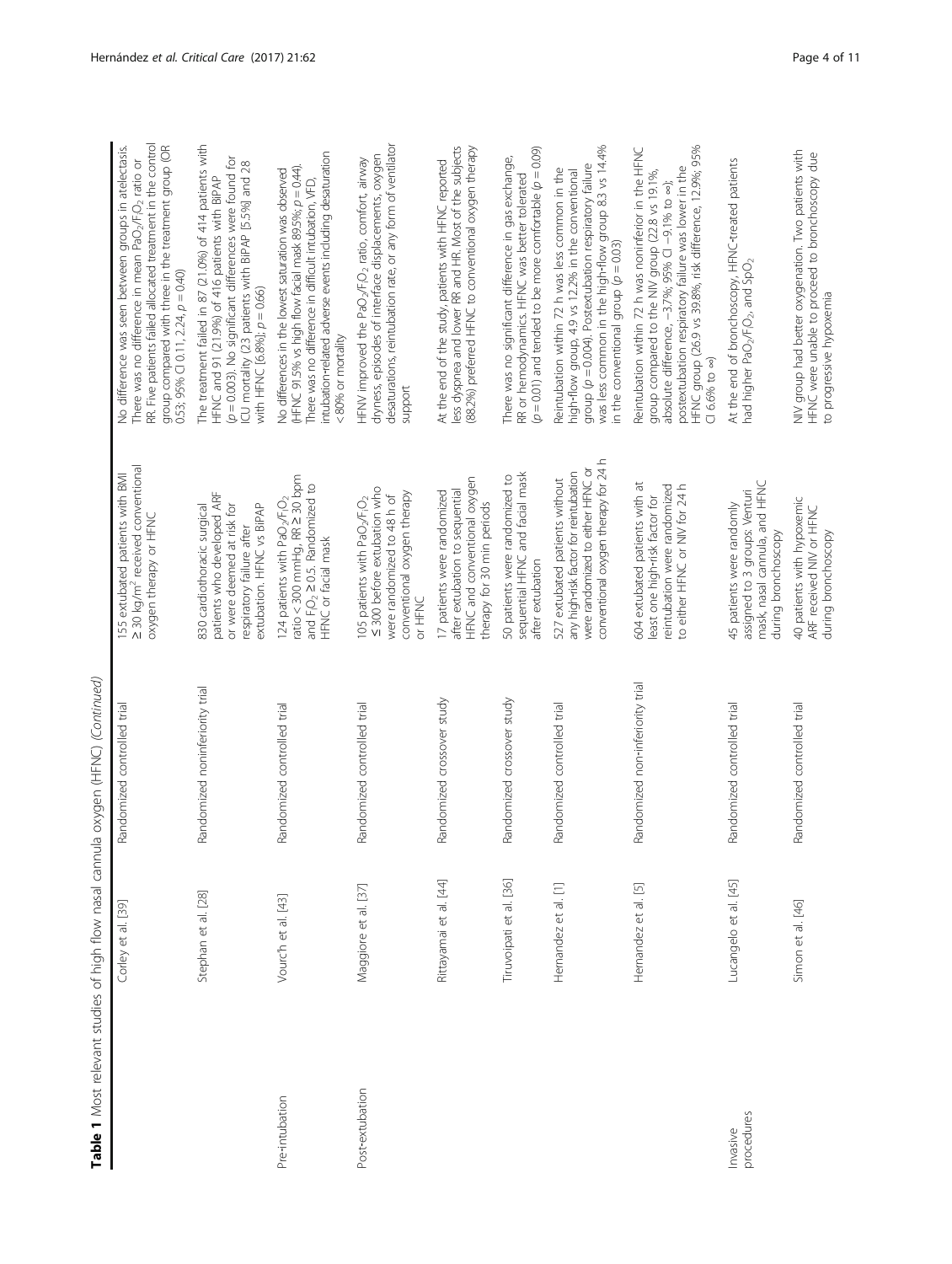|                        |                         | Table 1 Most relevant studies of high flow nasal cannula oxygen (HFNC) (Continued) |                                                                                                                                                                         |                                                                                                                                                                                                                                                                                                                    |
|------------------------|-------------------------|------------------------------------------------------------------------------------|-------------------------------------------------------------------------------------------------------------------------------------------------------------------------|--------------------------------------------------------------------------------------------------------------------------------------------------------------------------------------------------------------------------------------------------------------------------------------------------------------------|
|                        | Corley et al. [39]      | Randomized controlled trial                                                        | 2 30 kg/m <sup>2</sup> received conventional<br>155 extubated patients with BMI<br>oxygen therapy or HFNC                                                               | RR. Five patients failed allocated treatment in the control<br>group compared with three in the treatment group (OR<br>No difference was seen between groups in atelectasis.<br>There was no difference in mean PaO <sub>2</sub> /F <sub>i</sub> O <sub>2</sub> ratio or<br>$0.53; 95\%$ CI 0.11, 2.24, $p = 0.40$ |
|                        | Stephan et al. [28]     | Randomized noninferiority trial                                                    | patients who developed ARF<br>or were deemed at risk for<br>extubation. HFNC vs BiPAP<br>830 cardiothoracic surgical<br>respiratory failure after                       | The treatment failed in 87 (21.0%) of 414 patients with<br>$(p = 0.003)$ . No significant differences were found for<br>ICU mortality (23 patients with BIPAP [5.5%] and 28<br>HFNC and 91 (21.9%) of 416 patients with BiPAP<br>with HFNC $[6.8\%]$ ; $p = 0.66$ )                                                |
| Pre-intubation         | Vourc'h et al. [43]     | Randomized controlled trial                                                        | ratio < 300 mmHg, RR $\geq$ 30 ppm<br>and $F_1O_2 \geq 0.5$ . Randomized to<br>124 patients with PaO <sub>2</sub> /F <sub>I</sub> O <sub>2</sub><br>HFNC or facial mask | intubation-related adverse events including desaturation<br>(HFNC 91.5% vs high flow facial mask 89.5%; p = 0.44).<br>No differences in the lowest saturation was observed<br>There was no difference in difficult intubation, VFD,<br><80% or mortality                                                           |
| Post-extubation        | Maggiore et al. [37]    | Randomized controlled trial                                                        | ≤ 300 before extubation who<br>conventional oxygen therapy<br>were randomized to 48 h of<br>105 patients with PaO <sub>2</sub> /F <sub>i</sub> O <sub>2</sub><br>DNHH b | desaturations, reintubation rate, or any form of ventilator<br>dryness, episodes of interface displacements, oxygen<br>HFNV improved the PaO <sub>2</sub> /F <sub>i</sub> O <sub>2</sub> ratio, comfort, airway<br>support                                                                                         |
|                        | Rittayamai et al. [44]  | Randomized crossover study                                                         | HFNC and conventional oxygen<br>17 patients were randomized<br>after extubation to sequential<br>therapy for 30 min periods                                             | less dyspnea and lower RR and HR. Most of the subjects<br>(88.2%) preferred HFNC to conventional oxygen therapy<br>At the end of the study, patients with HFNC reported                                                                                                                                            |
|                        | Tiruvoipati et al. [36] | Randomized crossover study                                                         | sequential HFNC and facial mask<br>50 patients were randomized to<br>after extubation                                                                                   | $(p = 0.01)$ and tended to be more comfortable $(p = 0.09)$<br>There was no significant difference in gas exchange,<br>RR or hemodynamics. HFNC was better tolerated                                                                                                                                               |
|                        | Hernandez et al. [1]    | Randomized controlled trial                                                        | conventional oxygen therapy for 24 h<br>were randomized to either HFNC or<br>any high-risk factor for reintubation<br>527 extubated patients without                    | was less common in the high-flow group 8.3 vs 14.4%<br>group $(p = 0.004)$ . Postextubation respiratory failure<br>Reintubation within 72 h was less common in the<br>high-flow group, 4.9 vs 12.2% in the conventional<br>in the conventional group $(p = 0.03)$                                                  |
|                        | Hernandez et al. [5]    | Randomized non-inferiority trial                                                   | 604 extubated patients with at<br>to either HFNC or NIV for 24 h<br>reintubation were randomized<br>least one high-risk factor for                                      | HFNC group (26.9 vs 39.8%, risk difference, 12.9%; 95%<br>Reintubation within 72 h was noninferior in the HFNC<br>postextubation respiratory failure was lower in the<br>group compared to the NIV group (22.8 vs 19.1%,<br>absolute difference, -3.7%; 95% CI -9.1% to ~);<br>$C166%$ to $\infty$ )               |
| procedures<br>Invasive | Lucangelo et al. [45]   | Randomized controlled trial                                                        | mask, nasal cannula, and HFNC<br>assigned to 3 groups: Venturi<br>45 patients were randomly<br>during bronchoscopy                                                      | At the end of bronchoscopy, HFNC-treated patients<br>had higher PaO <sub>2</sub> /F <sub>i</sub> O <sub>2</sub> , and SpO <sub>2</sub>                                                                                                                                                                             |
|                        | Simon et al. [46]       | Randomized controlled trial                                                        | 40 patients with hypoxemic<br>ARF received NIV or HFNC<br>during bronchoscopy                                                                                           | NIV group had better oxygenation. Two patients with<br>HFNC were unable to proceed to bronchoscopy due<br>to progressive hypoxemia                                                                                                                                                                                 |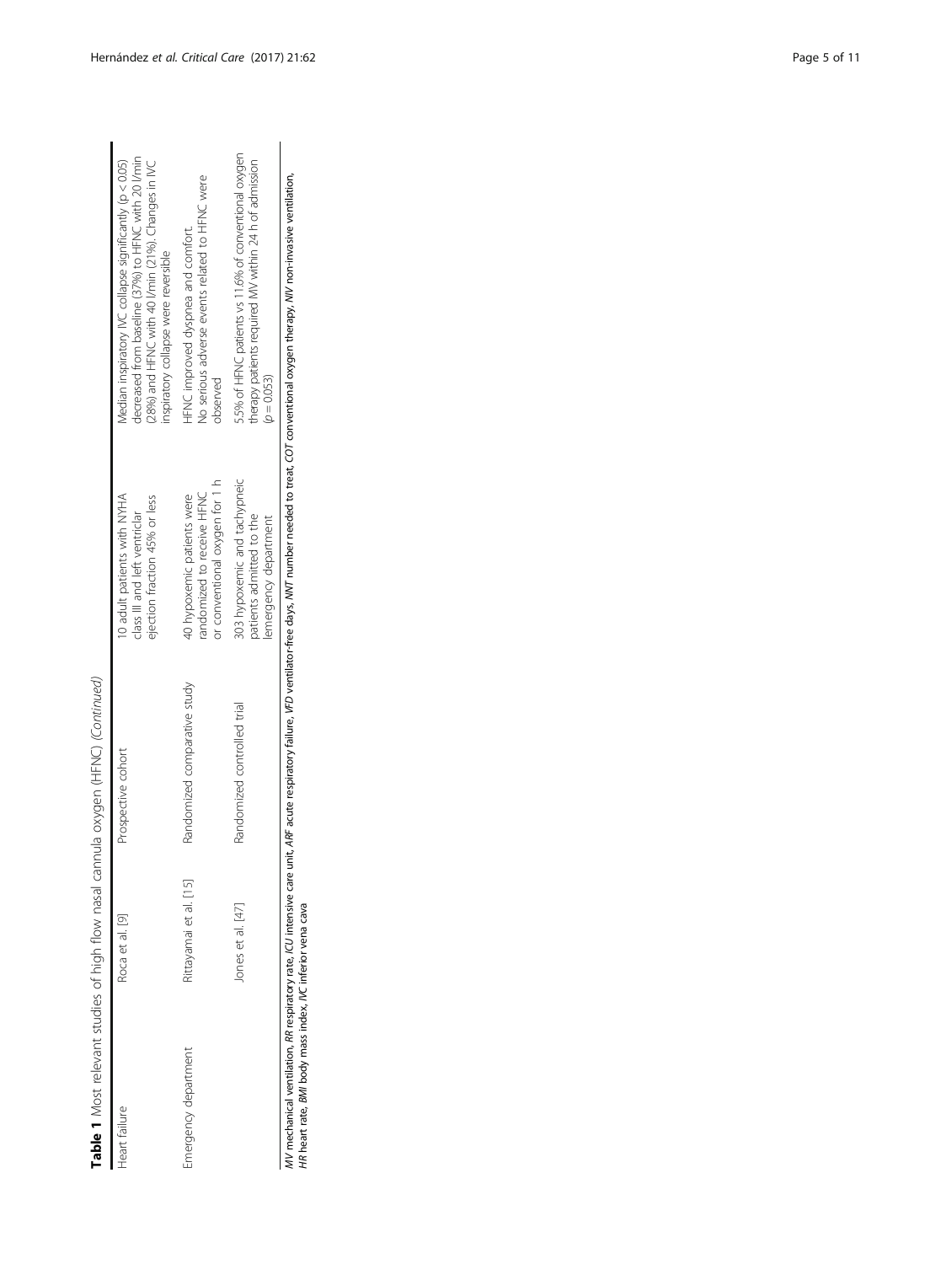| Š<br>$\zeta$                         |  |
|--------------------------------------|--|
| (ニュニ<br>ļ<br>J<br>I                  |  |
| į<br>ת<br>١<br>ייניי מהרה בקווח מיי  |  |
| j<br>į<br>١                          |  |
| í<br>$\mathcal{L}$<br>$\overline{a}$ |  |
| j<br>l<br>1<br>5<br>ļ                |  |
| j<br>į                               |  |
| Table 1 <sup>N</sup>                 |  |

|                      |                        | Table 1 Most relevant studies of high flow nasal cannula oxygen (HFNC) (Continued) |                                                                                               |                                                                                                                                                                                                              |
|----------------------|------------------------|------------------------------------------------------------------------------------|-----------------------------------------------------------------------------------------------|--------------------------------------------------------------------------------------------------------------------------------------------------------------------------------------------------------------|
| Heart failure        | Roca et al. [9]        | Prospective cohort                                                                 | 10 adult patients with NYHA<br>ejection fraction 45% or less<br>class III and left ventriclar | decreased from baseline (37%) to HFNC with 20 I/min<br>Median inspiratory IVC collapse significantly (p < 0.05)<br>(28%) and HFNC with 40 I/min (21%). Changes in NC<br>inspiratory collapse were reversible |
| Emergency department | Rittayamai et al. [15] | Randomized comparative study                                                       | or conventional oxygen for 1 h<br>40 hypoxemic patients were<br>randomized to receive HFNC    | No serious adverse events related to HFNC were<br>HFNC improved dyspnea and comfort.<br>observed                                                                                                             |
|                      | lones et al. [47]      | Randomized controlled trial                                                        | 303 hypoxemic and tachypneic<br>patients admitted to the<br>emergency department              | 5.5% of HFNC patients vs 11.6% of conventional oxygen<br>therapy patients required MV within 24 h of admission<br>$(p = 0.053)$                                                                              |
|                      |                        |                                                                                    |                                                                                               |                                                                                                                                                                                                              |

MV mechanical ventilation, RR respiratory rate, ICU intensive care unit, ARF acute respiratory failure, VFD ventilator‐free days, NNT number needed to treat, COT conventional oxygen therapy, NIV non‐invasive ventilation, HR heart rate, BMI body mass index, IVC inferior vena cava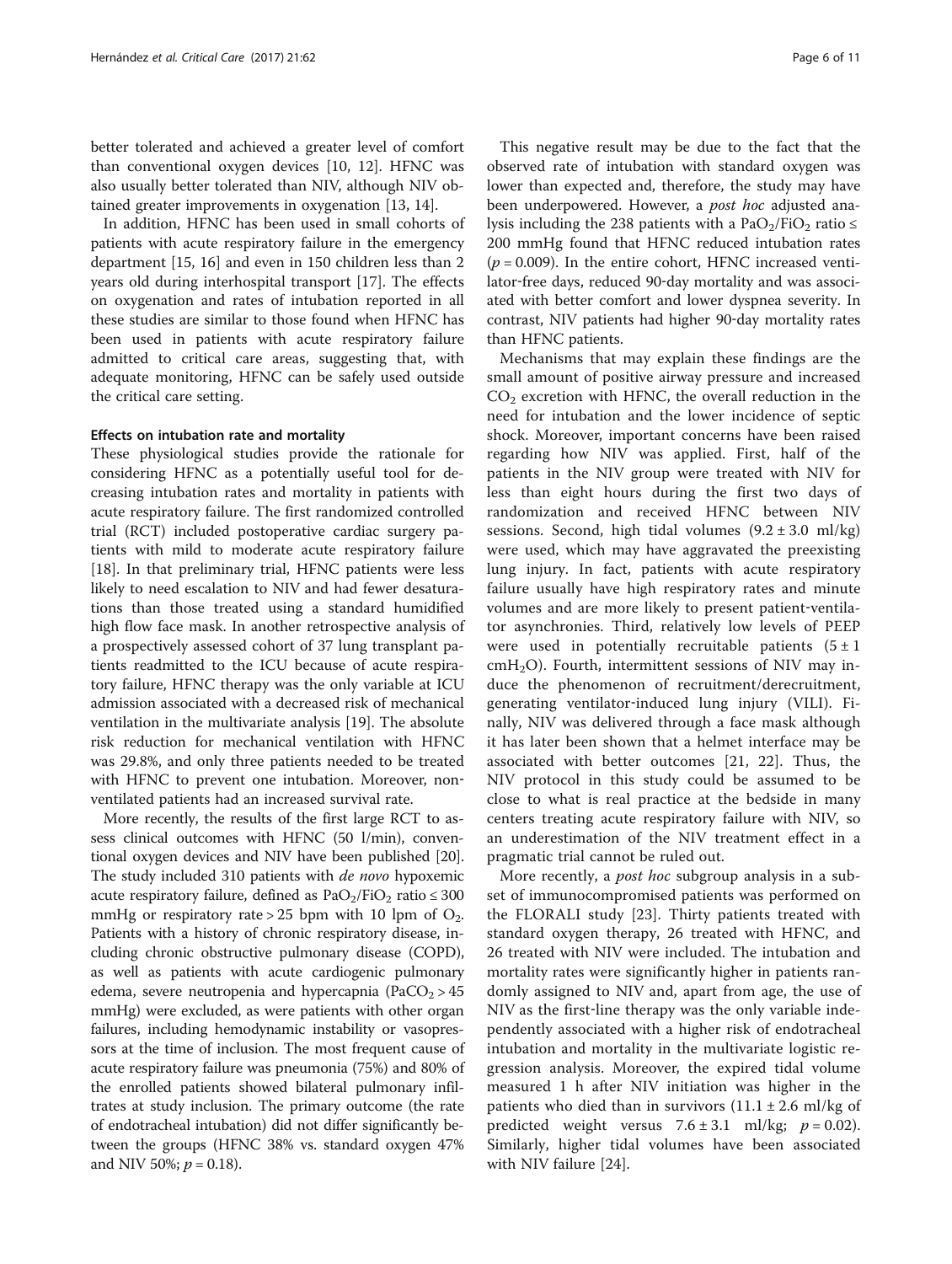better tolerated and achieved a greater level of comfort than conventional oxygen devices [\[10](#page-9-0), [12\]](#page-9-0). HFNC was also usually better tolerated than NIV, although NIV obtained greater improvements in oxygenation [\[13](#page-9-0), [14\]](#page-9-0).

In addition, HFNC has been used in small cohorts of patients with acute respiratory failure in the emergency department [\[15, 16](#page-9-0)] and even in 150 children less than 2 years old during interhospital transport [\[17](#page-9-0)]. The effects on oxygenation and rates of intubation reported in all these studies are similar to those found when HFNC has been used in patients with acute respiratory failure admitted to critical care areas, suggesting that, with adequate monitoring, HFNC can be safely used outside the critical care setting.

#### Effects on intubation rate and mortality

These physiological studies provide the rationale for considering HFNC as a potentially useful tool for decreasing intubation rates and mortality in patients with acute respiratory failure. The first randomized controlled trial (RCT) included postoperative cardiac surgery patients with mild to moderate acute respiratory failure [[18\]](#page-9-0). In that preliminary trial, HFNC patients were less likely to need escalation to NIV and had fewer desaturations than those treated using a standard humidified high flow face mask. In another retrospective analysis of a prospectively assessed cohort of 37 lung transplant patients readmitted to the ICU because of acute respiratory failure, HFNC therapy was the only variable at ICU admission associated with a decreased risk of mechanical ventilation in the multivariate analysis [\[19](#page-9-0)]. The absolute risk reduction for mechanical ventilation with HFNC was 29.8%, and only three patients needed to be treated with HFNC to prevent one intubation. Moreover, nonventilated patients had an increased survival rate.

More recently, the results of the first large RCT to assess clinical outcomes with HFNC (50 l/min), conventional oxygen devices and NIV have been published [[20](#page-9-0)]. The study included 310 patients with *de novo* hypoxemic acute respiratory failure, defined as  $PaO_2/FiO_2$  ratio  $\leq 300$ mmHg or respiratory rate > 25 bpm with 10 lpm of  $O_2$ . Patients with a history of chronic respiratory disease, including chronic obstructive pulmonary disease (COPD), as well as patients with acute cardiogenic pulmonary edema, severe neutropenia and hypercapnia (PaCO<sub>2</sub> > 45 mmHg) were excluded, as were patients with other organ failures, including hemodynamic instability or vasopressors at the time of inclusion. The most frequent cause of acute respiratory failure was pneumonia (75%) and 80% of the enrolled patients showed bilateral pulmonary infiltrates at study inclusion. The primary outcome (the rate of endotracheal intubation) did not differ significantly between the groups (HFNC 38% vs. standard oxygen 47% and NIV 50%;  $p = 0.18$ ).

This negative result may be due to the fact that the observed rate of intubation with standard oxygen was lower than expected and, therefore, the study may have been underpowered. However, a *post hoc* adjusted analysis including the 238 patients with a PaO<sub>2</sub>/FiO<sub>2</sub> ratio  $\leq$ 200 mmHg found that HFNC reduced intubation rates  $(p = 0.009)$ . In the entire cohort, HFNC increased ventilator‐free days, reduced 90‐day mortality and was associated with better comfort and lower dyspnea severity. In contrast, NIV patients had higher 90‐day mortality rates than HFNC patients.

Mechanisms that may explain these findings are the small amount of positive airway pressure and increased  $CO<sub>2</sub>$  excretion with HFNC, the overall reduction in the need for intubation and the lower incidence of septic shock. Moreover, important concerns have been raised regarding how NIV was applied. First, half of the patients in the NIV group were treated with NIV for less than eight hours during the first two days of randomization and received HFNC between NIV sessions. Second, high tidal volumes  $(9.2 \pm 3.0 \text{ ml/kg})$ were used, which may have aggravated the preexisting lung injury. In fact, patients with acute respiratory failure usually have high respiratory rates and minute volumes and are more likely to present patient-ventilator asynchronies. Third, relatively low levels of PEEP were used in potentially recruitable patients  $(5 \pm 1)$  $cmH<sub>2</sub>O$ ). Fourth, intermittent sessions of NIV may induce the phenomenon of recruitment/derecruitment, generating ventilator-induced lung injury (VILI). Finally, NIV was delivered through a face mask although it has later been shown that a helmet interface may be associated with better outcomes [[21, 22\]](#page-9-0). Thus, the NIV protocol in this study could be assumed to be close to what is real practice at the bedside in many centers treating acute respiratory failure with NIV, so an underestimation of the NIV treatment effect in a pragmatic trial cannot be ruled out.

More recently, a post hoc subgroup analysis in a subset of immunocompromised patients was performed on the FLORALI study [\[23](#page-9-0)]. Thirty patients treated with standard oxygen therapy, 26 treated with HFNC, and 26 treated with NIV were included. The intubation and mortality rates were significantly higher in patients randomly assigned to NIV and, apart from age, the use of NIV as the first-line therapy was the only variable independently associated with a higher risk of endotracheal intubation and mortality in the multivariate logistic regression analysis. Moreover, the expired tidal volume measured 1 h after NIV initiation was higher in the patients who died than in survivors  $(11.1 \pm 2.6 \text{ ml/kg of})$ predicted weight versus  $7.6 \pm 3.1$  ml/kg;  $p = 0.02$ ). Similarly, higher tidal volumes have been associated with NIV failure [[24\]](#page-9-0).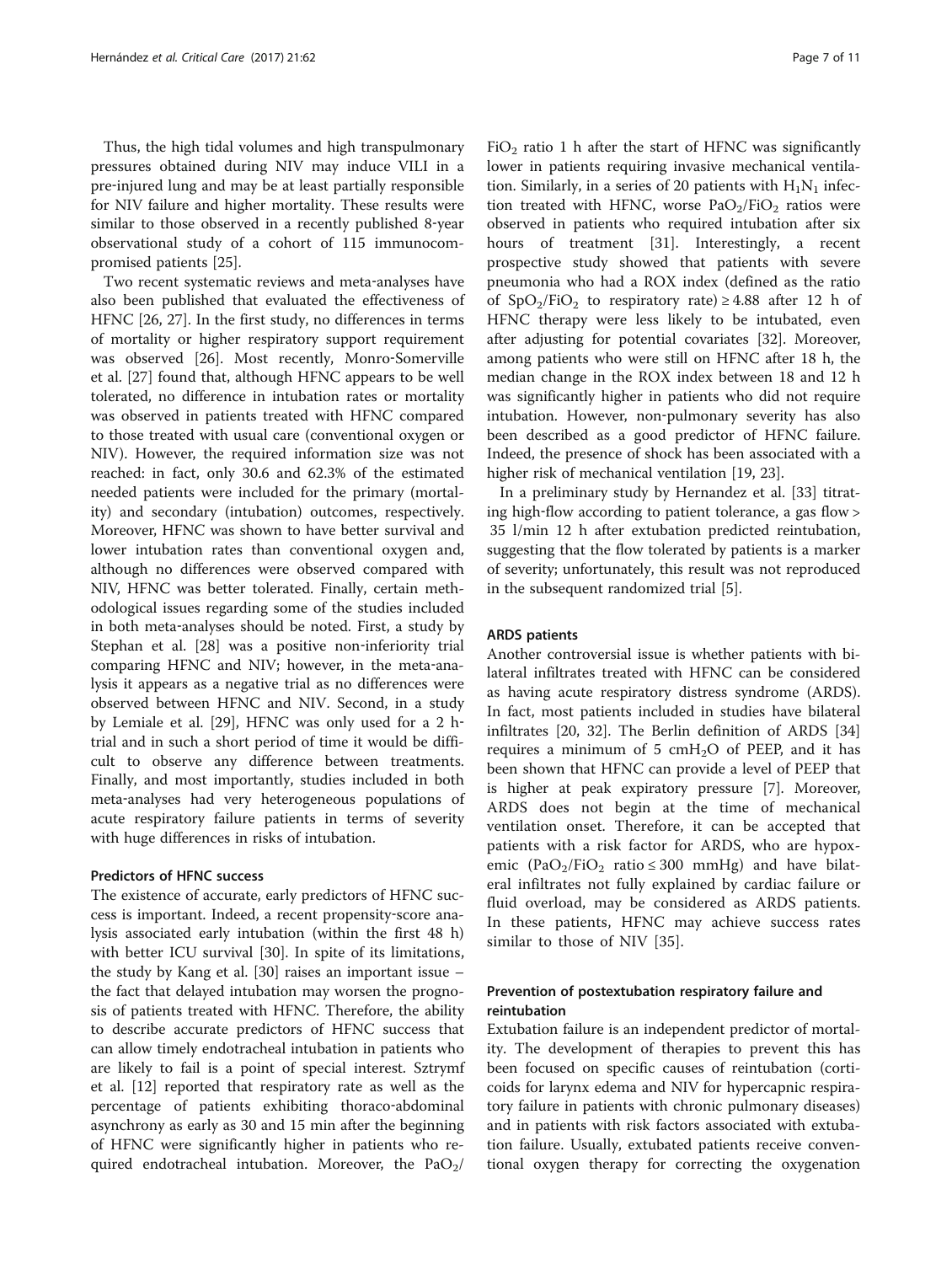Thus, the high tidal volumes and high transpulmonary pressures obtained during NIV may induce VILI in a pre‐injured lung and may be at least partially responsible for NIV failure and higher mortality. These results were similar to those observed in a recently published 8‐year observational study of a cohort of 115 immunocompromised patients [\[25\]](#page-9-0).

Two recent systematic reviews and meta-analyses have also been published that evaluated the effectiveness of HFNC [[26](#page-9-0), [27](#page-9-0)]. In the first study, no differences in terms of mortality or higher respiratory support requirement was observed [[26\]](#page-9-0). Most recently, Monro‐Somerville et al. [[27\]](#page-9-0) found that, although HFNC appears to be well tolerated, no difference in intubation rates or mortality was observed in patients treated with HFNC compared to those treated with usual care (conventional oxygen or NIV). However, the required information size was not reached: in fact, only 30.6 and 62.3% of the estimated needed patients were included for the primary (mortality) and secondary (intubation) outcomes, respectively. Moreover, HFNC was shown to have better survival and lower intubation rates than conventional oxygen and, although no differences were observed compared with NIV, HFNC was better tolerated. Finally, certain methodological issues regarding some of the studies included in both meta‐analyses should be noted. First, a study by Stephan et al. [[28\]](#page-9-0) was a positive non-inferiority trial comparing HFNC and NIV; however, in the meta‐analysis it appears as a negative trial as no differences were observed between HFNC and NIV. Second, in a study by Lemiale et al. [[29](#page-9-0)], HFNC was only used for a 2 htrial and in such a short period of time it would be difficult to observe any difference between treatments. Finally, and most importantly, studies included in both meta‐analyses had very heterogeneous populations of acute respiratory failure patients in terms of severity with huge differences in risks of intubation.

#### Predictors of HFNC success

The existence of accurate, early predictors of HFNC success is important. Indeed, a recent propensity‐score analysis associated early intubation (within the first 48 h) with better ICU survival [\[30](#page-9-0)]. In spite of its limitations, the study by Kang et al. [[30\]](#page-9-0) raises an important issue – the fact that delayed intubation may worsen the prognosis of patients treated with HFNC. Therefore, the ability to describe accurate predictors of HFNC success that can allow timely endotracheal intubation in patients who are likely to fail is a point of special interest. Sztrymf et al. [\[12](#page-9-0)] reported that respiratory rate as well as the percentage of patients exhibiting thoraco‐abdominal asynchrony as early as 30 and 15 min after the beginning of HFNC were significantly higher in patients who required endotracheal intubation. Moreover, the  $PaO<sub>2</sub>/$ 

 $FiO<sub>2</sub>$  ratio 1 h after the start of HFNC was significantly lower in patients requiring invasive mechanical ventilation. Similarly, in a series of 20 patients with  $H_1N_1$  infection treated with HFNC, worse  $PaO<sub>2</sub>/FiO<sub>2</sub>$  ratios were observed in patients who required intubation after six hours of treatment [[31\]](#page-9-0). Interestingly, a recent prospective study showed that patients with severe pneumonia who had a ROX index (defined as the ratio of  $SpO<sub>2</sub>/FiO<sub>2</sub>$  to respiratory rate) ≥ 4.88 after 12 h of HFNC therapy were less likely to be intubated, even after adjusting for potential covariates [[32\]](#page-10-0). Moreover, among patients who were still on HFNC after 18 h, the median change in the ROX index between 18 and 12 h was significantly higher in patients who did not require intubation. However, non-pulmonary severity has also been described as a good predictor of HFNC failure. Indeed, the presence of shock has been associated with a higher risk of mechanical ventilation [[19, 23\]](#page-9-0).

In a preliminary study by Hernandez et al. [\[33](#page-10-0)] titrating high-flow according to patient tolerance, a gas flow > 35 l/min 12 h after extubation predicted reintubation, suggesting that the flow tolerated by patients is a marker of severity; unfortunately, this result was not reproduced in the subsequent randomized trial [\[5](#page-9-0)].

#### ARDS patients

Another controversial issue is whether patients with bilateral infiltrates treated with HFNC can be considered as having acute respiratory distress syndrome (ARDS). In fact, most patients included in studies have bilateral infiltrates [[20,](#page-9-0) [32](#page-10-0)]. The Berlin definition of ARDS [[34](#page-10-0)] requires a minimum of 5  $cmH<sub>2</sub>O$  of PEEP, and it has been shown that HFNC can provide a level of PEEP that is higher at peak expiratory pressure [[7](#page-9-0)]. Moreover, ARDS does not begin at the time of mechanical ventilation onset. Therefore, it can be accepted that patients with a risk factor for ARDS, who are hypoxemic (PaO<sub>2</sub>/FiO<sub>2</sub> ratio ≤ 300 mmHg) and have bilateral infiltrates not fully explained by cardiac failure or fluid overload, may be considered as ARDS patients. In these patients, HFNC may achieve success rates similar to those of NIV [[35\]](#page-10-0).

# Prevention of postextubation respiratory failure and reintubation

Extubation failure is an independent predictor of mortality. The development of therapies to prevent this has been focused on specific causes of reintubation (corticoids for larynx edema and NIV for hypercapnic respiratory failure in patients with chronic pulmonary diseases) and in patients with risk factors associated with extubation failure. Usually, extubated patients receive conventional oxygen therapy for correcting the oxygenation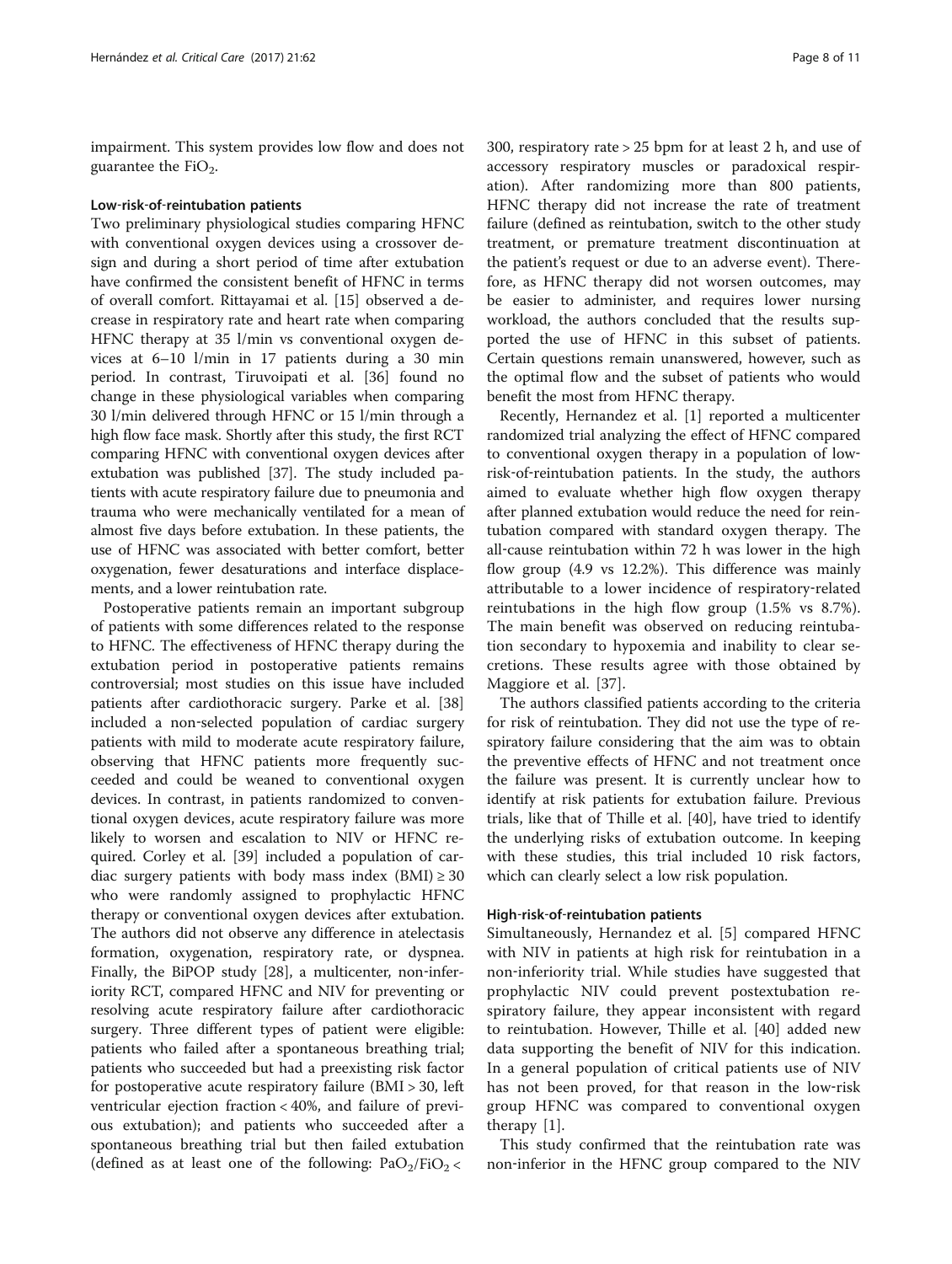impairment. This system provides low flow and does not guarantee the  $FiO<sub>2</sub>$ .

#### Low‐risk‐of‐reintubation patients

Two preliminary physiological studies comparing HFNC with conventional oxygen devices using a crossover design and during a short period of time after extubation have confirmed the consistent benefit of HFNC in terms of overall comfort. Rittayamai et al. [\[15\]](#page-9-0) observed a decrease in respiratory rate and heart rate when comparing HFNC therapy at 35 l/min vs conventional oxygen devices at 6–10 l/min in 17 patients during a 30 min period. In contrast, Tiruvoipati et al. [[36\]](#page-10-0) found no change in these physiological variables when comparing 30 l/min delivered through HFNC or 15 l/min through a high flow face mask. Shortly after this study, the first RCT comparing HFNC with conventional oxygen devices after extubation was published [\[37\]](#page-10-0). The study included patients with acute respiratory failure due to pneumonia and trauma who were mechanically ventilated for a mean of almost five days before extubation. In these patients, the use of HFNC was associated with better comfort, better oxygenation, fewer desaturations and interface displacements, and a lower reintubation rate.

Postoperative patients remain an important subgroup of patients with some differences related to the response to HFNC. The effectiveness of HFNC therapy during the extubation period in postoperative patients remains controversial; most studies on this issue have included patients after cardiothoracic surgery. Parke et al. [[38](#page-10-0)] included a non‐selected population of cardiac surgery patients with mild to moderate acute respiratory failure, observing that HFNC patients more frequently succeeded and could be weaned to conventional oxygen devices. In contrast, in patients randomized to conventional oxygen devices, acute respiratory failure was more likely to worsen and escalation to NIV or HFNC required. Corley et al. [[39\]](#page-10-0) included a population of cardiac surgery patients with body mass index  $(BMI) \ge 30$ who were randomly assigned to prophylactic HFNC therapy or conventional oxygen devices after extubation. The authors did not observe any difference in atelectasis formation, oxygenation, respiratory rate, or dyspnea. Finally, the BiPOP study [[28\]](#page-9-0), a multicenter, non-inferiority RCT, compared HFNC and NIV for preventing or resolving acute respiratory failure after cardiothoracic surgery. Three different types of patient were eligible: patients who failed after a spontaneous breathing trial; patients who succeeded but had a preexisting risk factor for postoperative acute respiratory failure (BMI > 30, left ventricular ejection fraction < 40%, and failure of previous extubation); and patients who succeeded after a spontaneous breathing trial but then failed extubation (defined as at least one of the following:  $PaO<sub>2</sub>/FiO<sub>2</sub>$  <

300, respiratory rate > 25 bpm for at least 2 h, and use of accessory respiratory muscles or paradoxical respiration). After randomizing more than 800 patients, HFNC therapy did not increase the rate of treatment failure (defined as reintubation, switch to the other study treatment, or premature treatment discontinuation at the patient's request or due to an adverse event). Therefore, as HFNC therapy did not worsen outcomes, may be easier to administer, and requires lower nursing workload, the authors concluded that the results supported the use of HFNC in this subset of patients. Certain questions remain unanswered, however, such as the optimal flow and the subset of patients who would benefit the most from HFNC therapy.

Recently, Hernandez et al. [\[1](#page-9-0)] reported a multicenter randomized trial analyzing the effect of HFNC compared to conventional oxygen therapy in a population of low‐ risk-of-reintubation patients. In the study, the authors aimed to evaluate whether high flow oxygen therapy after planned extubation would reduce the need for reintubation compared with standard oxygen therapy. The all-cause reintubation within 72 h was lower in the high flow group (4.9 vs 12.2%). This difference was mainly attributable to a lower incidence of respiratory‐related reintubations in the high flow group (1.5% vs 8.7%). The main benefit was observed on reducing reintubation secondary to hypoxemia and inability to clear secretions. These results agree with those obtained by Maggiore et al. [\[37](#page-10-0)].

The authors classified patients according to the criteria for risk of reintubation. They did not use the type of respiratory failure considering that the aim was to obtain the preventive effects of HFNC and not treatment once the failure was present. It is currently unclear how to identify at risk patients for extubation failure. Previous trials, like that of Thille et al. [\[40](#page-10-0)], have tried to identify the underlying risks of extubation outcome. In keeping with these studies, this trial included 10 risk factors, which can clearly select a low risk population.

#### High‐risk‐of‐reintubation patients

Simultaneously, Hernandez et al. [\[5](#page-9-0)] compared HFNC with NIV in patients at high risk for reintubation in a non‐inferiority trial. While studies have suggested that prophylactic NIV could prevent postextubation respiratory failure, they appear inconsistent with regard to reintubation. However, Thille et al. [[40](#page-10-0)] added new data supporting the benefit of NIV for this indication. In a general population of critical patients use of NIV has not been proved, for that reason in the low-risk group HFNC was compared to conventional oxygen therapy [\[1](#page-9-0)].

This study confirmed that the reintubation rate was non‐inferior in the HFNC group compared to the NIV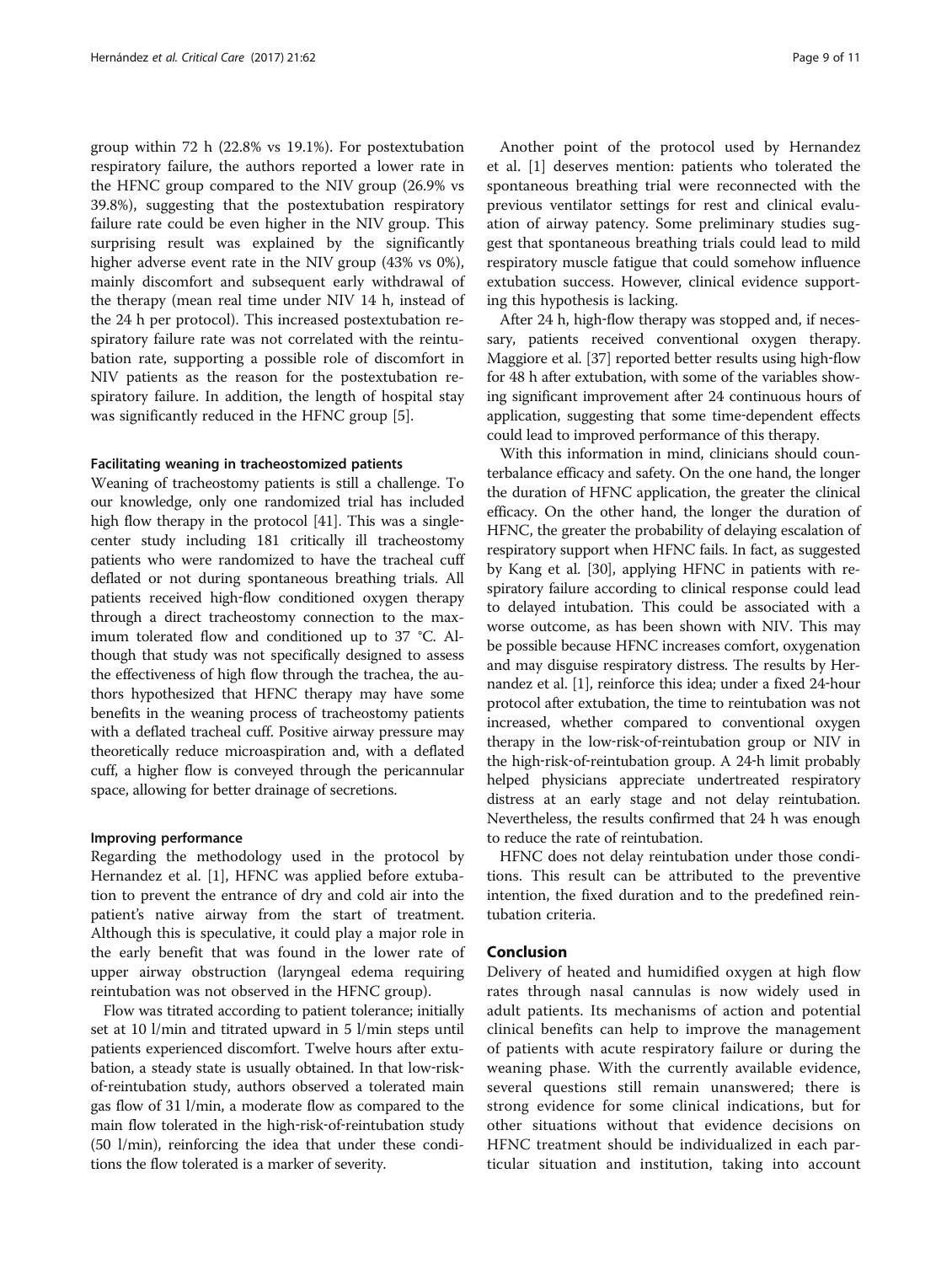group within 72 h (22.8% vs 19.1%). For postextubation respiratory failure, the authors reported a lower rate in the HFNC group compared to the NIV group (26.9% vs 39.8%), suggesting that the postextubation respiratory failure rate could be even higher in the NIV group. This surprising result was explained by the significantly higher adverse event rate in the NIV group (43% vs 0%), mainly discomfort and subsequent early withdrawal of the therapy (mean real time under NIV 14 h, instead of the 24 h per protocol). This increased postextubation respiratory failure rate was not correlated with the reintubation rate, supporting a possible role of discomfort in NIV patients as the reason for the postextubation respiratory failure. In addition, the length of hospital stay was significantly reduced in the HFNC group [[5\]](#page-9-0).

#### Facilitating weaning in tracheostomized patients

Weaning of tracheostomy patients is still a challenge. To our knowledge, only one randomized trial has included high flow therapy in the protocol [\[41\]](#page-10-0). This was a singlecenter study including 181 critically ill tracheostomy patients who were randomized to have the tracheal cuff deflated or not during spontaneous breathing trials. All patients received high‐flow conditioned oxygen therapy through a direct tracheostomy connection to the maximum tolerated flow and conditioned up to 37 °C. Although that study was not specifically designed to assess the effectiveness of high flow through the trachea, the authors hypothesized that HFNC therapy may have some benefits in the weaning process of tracheostomy patients with a deflated tracheal cuff. Positive airway pressure may theoretically reduce microaspiration and, with a deflated cuff, a higher flow is conveyed through the pericannular space, allowing for better drainage of secretions.

#### Improving performance

Regarding the methodology used in the protocol by Hernandez et al. [[1\]](#page-9-0), HFNC was applied before extubation to prevent the entrance of dry and cold air into the patient's native airway from the start of treatment. Although this is speculative, it could play a major role in the early benefit that was found in the lower rate of upper airway obstruction (laryngeal edema requiring reintubation was not observed in the HFNC group).

Flow was titrated according to patient tolerance; initially set at 10 l/min and titrated upward in 5 l/min steps until patients experienced discomfort. Twelve hours after extubation, a steady state is usually obtained. In that low-riskof-reintubation study, authors observed a tolerated main gas flow of 31 l/min, a moderate flow as compared to the main flow tolerated in the high-risk-of-reintubation study (50 l/min), reinforcing the idea that under these conditions the flow tolerated is a marker of severity.

Another point of the protocol used by Hernandez et al. [[1\]](#page-9-0) deserves mention: patients who tolerated the spontaneous breathing trial were reconnected with the previous ventilator settings for rest and clinical evaluation of airway patency. Some preliminary studies suggest that spontaneous breathing trials could lead to mild respiratory muscle fatigue that could somehow influence extubation success. However, clinical evidence supporting this hypothesis is lacking.

After 24 h, high-flow therapy was stopped and, if necessary, patients received conventional oxygen therapy. Maggiore et al. [[37\]](#page-10-0) reported better results using high‐flow for 48 h after extubation, with some of the variables showing significant improvement after 24 continuous hours of application, suggesting that some time‐dependent effects could lead to improved performance of this therapy.

With this information in mind, clinicians should counterbalance efficacy and safety. On the one hand, the longer the duration of HFNC application, the greater the clinical efficacy. On the other hand, the longer the duration of HFNC, the greater the probability of delaying escalation of respiratory support when HFNC fails. In fact, as suggested by Kang et al. [[30](#page-9-0)], applying HFNC in patients with respiratory failure according to clinical response could lead to delayed intubation. This could be associated with a worse outcome, as has been shown with NIV. This may be possible because HFNC increases comfort, oxygenation and may disguise respiratory distress. The results by Hernandez et al. [\[1\]](#page-9-0), reinforce this idea; under a fixed 24‐hour protocol after extubation, the time to reintubation was not increased, whether compared to conventional oxygen therapy in the low‐risk‐of‐reintubation group or NIV in the high‐risk‐of‐reintubation group. A 24‐h limit probably helped physicians appreciate undertreated respiratory distress at an early stage and not delay reintubation. Nevertheless, the results confirmed that 24 h was enough to reduce the rate of reintubation.

HFNC does not delay reintubation under those conditions. This result can be attributed to the preventive intention, the fixed duration and to the predefined reintubation criteria.

## Conclusion

Delivery of heated and humidified oxygen at high flow rates through nasal cannulas is now widely used in adult patients. Its mechanisms of action and potential clinical benefits can help to improve the management of patients with acute respiratory failure or during the weaning phase. With the currently available evidence, several questions still remain unanswered; there is strong evidence for some clinical indications, but for other situations without that evidence decisions on HFNC treatment should be individualized in each particular situation and institution, taking into account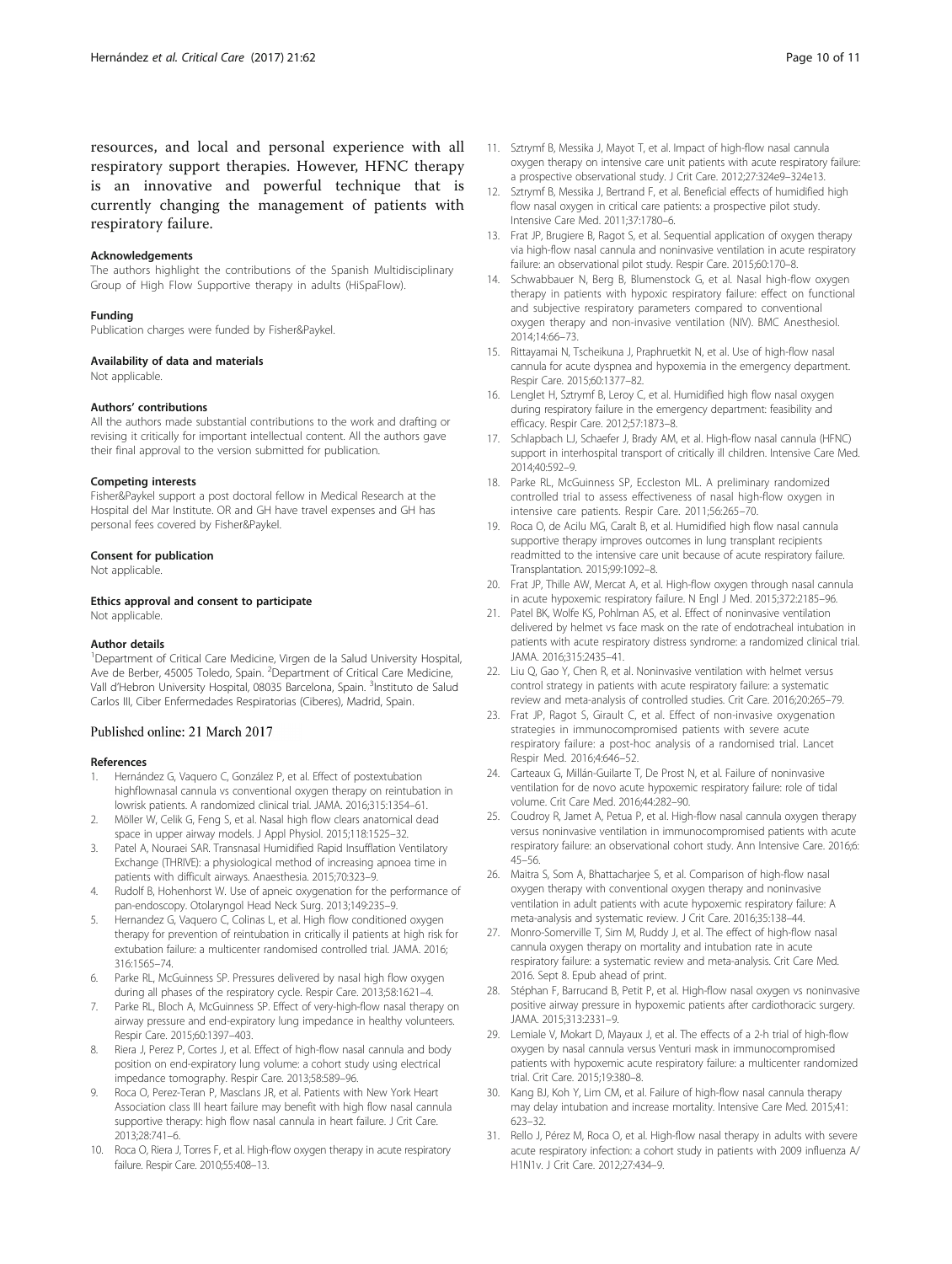<span id="page-9-0"></span>resources, and local and personal experience with all respiratory support therapies. However, HFNC therapy is an innovative and powerful technique that is currently changing the management of patients with respiratory failure.

#### Acknowledgements

The authors highlight the contributions of the Spanish Multidisciplinary Group of High Flow Supportive therapy in adults (HiSpaFlow).

#### Funding

Publication charges were funded by Fisher&Paykel.

#### Availability of data and materials

Not applicable.

#### Authors' contributions

All the authors made substantial contributions to the work and drafting or revising it critically for important intellectual content. All the authors gave their final approval to the version submitted for publication.

#### Competing interests

Fisher&Paykel support a post doctoral fellow in Medical Research at the Hospital del Mar Institute. OR and GH have travel expenses and GH has personal fees covered by Fisher&Paykel.

#### Consent for publication

Not applicable.

#### Ethics approval and consent to participate

Not applicable.

#### Author details

<sup>1</sup>Department of Critical Care Medicine, Virgen de la Salud University Hospital, Ave de Berber, 45005 Toledo, Spain. <sup>2</sup>Department of Critical Care Medicine, Vall d'Hebron University Hospital, 08035 Barcelona, Spain. <sup>3</sup>Instituto de Salud Carlos III, Ciber Enfermedades Respiratorias (Ciberes), Madrid, Spain.

#### Published online: 21 March 2017

#### References

- 1. Hernández G, Vaquero C, González P, et al. Effect of postextubation highflownasal cannula vs conventional oxygen therapy on reintubation in lowrisk patients. A randomized clinical trial. JAMA. 2016;315:1354–61.
- 2. Möller W, Celik G, Feng S, et al. Nasal high flow clears anatomical dead space in upper airway models. J Appl Physiol. 2015;118:1525–32.
- 3. Patel A, Nouraei SAR. Transnasal Humidified Rapid Insufflation Ventilatory Exchange (THRIVE): a physiological method of increasing apnoea time in patients with difficult airways. Anaesthesia. 2015;70:323–9.
- 4. Rudolf B, Hohenhorst W. Use of apneic oxygenation for the performance of pan-endoscopy. Otolaryngol Head Neck Surg. 2013;149:235–9.
- 5. Hernandez G, Vaquero C, Colinas L, et al. High flow conditioned oxygen therapy for prevention of reintubation in critically il patients at high risk for extubation failure: a multicenter randomised controlled trial. JAMA. 2016; 316:1565–74.
- 6. Parke RL, McGuinness SP. Pressures delivered by nasal high flow oxygen during all phases of the respiratory cycle. Respir Care. 2013;58:1621–4.
- 7. Parke RL, Bloch A, McGuinness SP. Effect of very-high-flow nasal therapy on airway pressure and end-expiratory lung impedance in healthy volunteers. Respir Care. 2015;60:1397–403.
- 8. Riera J, Perez P, Cortes J, et al. Effect of high-flow nasal cannula and body position on end-expiratory lung volume: a cohort study using electrical impedance tomography. Respir Care. 2013;58:589–96.
- 9. Roca O, Perez-Teran P, Masclans JR, et al. Patients with New York Heart Association class III heart failure may benefit with high flow nasal cannula supportive therapy: high flow nasal cannula in heart failure. J Crit Care. 2013;28:741–6.
- 10. Roca O, Riera J, Torres F, et al. High-flow oxygen therapy in acute respiratory failure. Respir Care. 2010;55:408–13.
- 11. Sztrymf B, Messika J, Mayot T, et al. Impact of high-flow nasal cannula oxygen therapy on intensive care unit patients with acute respiratory failure: a prospective observational study. J Crit Care. 2012;27:324e9–324e13.
- 12. Sztrymf B, Messika J, Bertrand F, et al. Beneficial effects of humidified high flow nasal oxygen in critical care patients: a prospective pilot study. Intensive Care Med. 2011;37:1780–6.
- 13. Frat JP, Brugiere B, Ragot S, et al. Sequential application of oxygen therapy via high-flow nasal cannula and noninvasive ventilation in acute respiratory failure: an observational pilot study. Respir Care. 2015;60:170–8.
- 14. Schwabbauer N, Berg B, Blumenstock G, et al. Nasal high-flow oxygen therapy in patients with hypoxic respiratory failure: effect on functional and subjective respiratory parameters compared to conventional oxygen therapy and non-invasive ventilation (NIV). BMC Anesthesiol. 2014;14:66–73.
- 15. Rittayamai N, Tscheikuna J, Praphruetkit N, et al. Use of high-flow nasal cannula for acute dyspnea and hypoxemia in the emergency department. Respir Care. 2015;60:1377–82.
- 16. Lenglet H, Sztrymf B, Leroy C, et al. Humidified high flow nasal oxygen during respiratory failure in the emergency department: feasibility and efficacy. Respir Care. 2012;57:1873–8.
- 17. Schlapbach LJ, Schaefer J, Brady AM, et al. High-flow nasal cannula (HFNC) support in interhospital transport of critically ill children. Intensive Care Med. 2014;40:592–9.
- 18. Parke RL, McGuinness SP, Eccleston ML. A preliminary randomized controlled trial to assess effectiveness of nasal high-flow oxygen in intensive care patients. Respir Care. 2011;56:265–70.
- 19. Roca O, de Acilu MG, Caralt B, et al. Humidified high flow nasal cannula supportive therapy improves outcomes in lung transplant recipients readmitted to the intensive care unit because of acute respiratory failure. Transplantation. 2015;99:1092–8.
- 20. Frat JP, Thille AW, Mercat A, et al. High-flow oxygen through nasal cannula in acute hypoxemic respiratory failure. N Engl J Med. 2015;372:2185–96.
- 21. Patel BK, Wolfe KS, Pohlman AS, et al. Effect of noninvasive ventilation delivered by helmet vs face mask on the rate of endotracheal intubation in patients with acute respiratory distress syndrome: a randomized clinical trial. JAMA. 2016;315:2435–41.
- 22. Liu O, Gao Y, Chen R, et al. Noninvasive ventilation with helmet versus control strategy in patients with acute respiratory failure: a systematic review and meta-analysis of controlled studies. Crit Care. 2016;20:265–79.
- 23. Frat JP, Ragot S, Girault C, et al. Effect of non-invasive oxygenation strategies in immunocompromised patients with severe acute respiratory failure: a post-hoc analysis of a randomised trial. Lancet Respir Med. 2016;4:646–52.
- 24. Carteaux G, Millán-Guilarte T, De Prost N, et al. Failure of noninvasive ventilation for de novo acute hypoxemic respiratory failure: role of tidal volume. Crit Care Med. 2016;44:282–90.
- 25. Coudroy R, Jamet A, Petua P, et al. High-flow nasal cannula oxygen therapy versus noninvasive ventilation in immunocompromised patients with acute respiratory failure: an observational cohort study. Ann Intensive Care. 2016;6: 45–56.
- 26. Maitra S, Som A, Bhattacharjee S, et al. Comparison of high-flow nasal oxygen therapy with conventional oxygen therapy and noninvasive ventilation in adult patients with acute hypoxemic respiratory failure: A meta-analysis and systematic review. J Crit Care. 2016;35:138–44.
- 27. Monro-Somerville T, Sim M, Ruddy J, et al. The effect of high-flow nasal cannula oxygen therapy on mortality and intubation rate in acute respiratory failure: a systematic review and meta-analysis. Crit Care Med. 2016. Sept 8. Epub ahead of print.
- 28. Stéphan F, Barrucand B, Petit P, et al. High-flow nasal oxygen vs noninvasive positive airway pressure in hypoxemic patients after cardiothoracic surgery. JAMA. 2015;313:2331–9.
- 29. Lemiale V, Mokart D, Mayaux J, et al. The effects of a 2-h trial of high-flow oxygen by nasal cannula versus Venturi mask in immunocompromised patients with hypoxemic acute respiratory failure: a multicenter randomized trial. Crit Care. 2015;19:380–8.
- 30. Kang BJ, Koh Y, Lim CM, et al. Failure of high-flow nasal cannula therapy may delay intubation and increase mortality. Intensive Care Med. 2015;41: 623–32.
- 31. Rello J, Pérez M, Roca O, et al. High-flow nasal therapy in adults with severe acute respiratory infection: a cohort study in patients with 2009 influenza A/ H1N1v. J Crit Care. 2012;27:434–9.